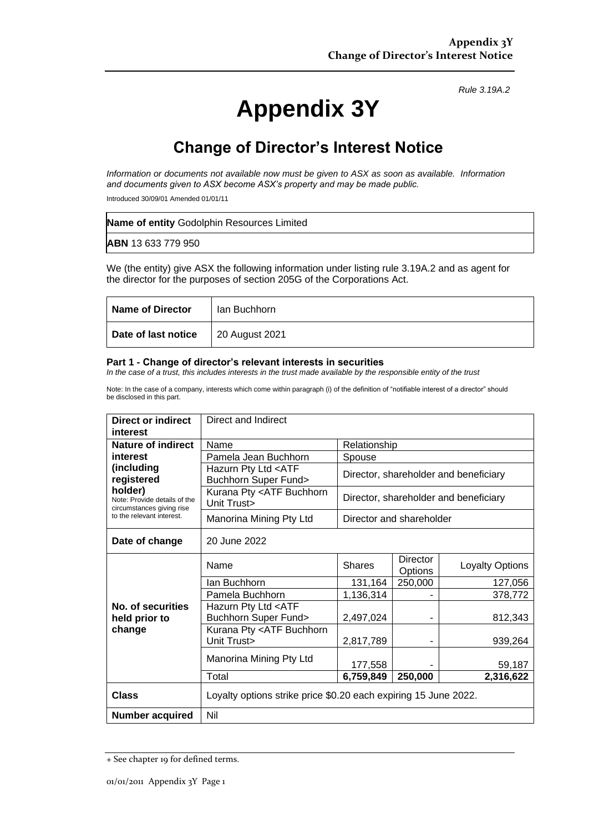# **Appendix 3Y**

*Rule 3.19A.2*

## **Change of Director's Interest Notice**

*Information or documents not available now must be given to ASX as soon as available. Information and documents given to ASX become ASX's property and may be made public.*

Introduced 30/09/01 Amended 01/01/11

| Name of entity Godolphin Resources Limited |  |
|--------------------------------------------|--|
| <b>ABN</b> 13 633 779 950                  |  |

We (the entity) give ASX the following information under listing rule 3.19A.2 and as agent for the director for the purposes of section 205G of the Corporations Act.

| <b>Name of Director</b> | lan Buchhorn   |
|-------------------------|----------------|
| Date of last notice     | 20 August 2021 |

#### **Part 1 - Change of director's relevant interests in securities**

*In the case of a trust, this includes interests in the trust made available by the responsible entity of the trust*

Note: In the case of a company, interests which come within paragraph (i) of the definition of "notifiable interest of a director" should be disclosed in this part.

| Direct or indirect<br>interest                                                                                                | Direct and Indirect                                             |                                       |                     |                        |
|-------------------------------------------------------------------------------------------------------------------------------|-----------------------------------------------------------------|---------------------------------------|---------------------|------------------------|
| <b>Nature of indirect</b>                                                                                                     | Name                                                            | Relationship                          |                     |                        |
| interest                                                                                                                      | Pamela Jean Buchhorn                                            | Spouse                                |                     |                        |
| (including<br>registered<br>holder)<br>Note: Provide details of the<br>circumstances giving rise<br>to the relevant interest. | Hazurn Pty Ltd <atf<br><b>Buchhorn Super Fund&gt;</b></atf<br>  | Director, shareholder and beneficiary |                     |                        |
|                                                                                                                               | Kurana Pty <atf buchhorn<br="">Unit Trust&gt;</atf>             | Director, shareholder and beneficiary |                     |                        |
|                                                                                                                               | Manorina Mining Pty Ltd                                         | Director and shareholder              |                     |                        |
| Date of change                                                                                                                | 20 June 2022                                                    |                                       |                     |                        |
|                                                                                                                               | Name                                                            | <b>Shares</b>                         | Director<br>Options | <b>Loyalty Options</b> |
|                                                                                                                               | Ian Buchhorn                                                    | 131,164                               | 250,000             | 127,056                |
|                                                                                                                               | Pamela Buchhorn                                                 | 1,136,314                             |                     | 378,772                |
| No. of securities<br>held prior to<br>change                                                                                  | Hazurn Pty Ltd <atf<br><b>Buchhorn Super Fund&gt;</b></atf<br>  | 2,497,024                             |                     | 812,343                |
|                                                                                                                               | Kurana Pty <atf buchhorn<br="">Unit Trust&gt;</atf>             | 2,817,789                             |                     | 939,264                |
|                                                                                                                               | Manorina Mining Pty Ltd                                         | 177,558                               |                     | 59,187                 |
|                                                                                                                               | Total                                                           | 6,759,849                             | 250,000             | 2,316,622              |
| <b>Class</b>                                                                                                                  | Loyalty options strike price \$0.20 each expiring 15 June 2022. |                                       |                     |                        |
| <b>Number acquired</b>                                                                                                        | Nil                                                             |                                       |                     |                        |

<sup>+</sup> See chapter 19 for defined terms.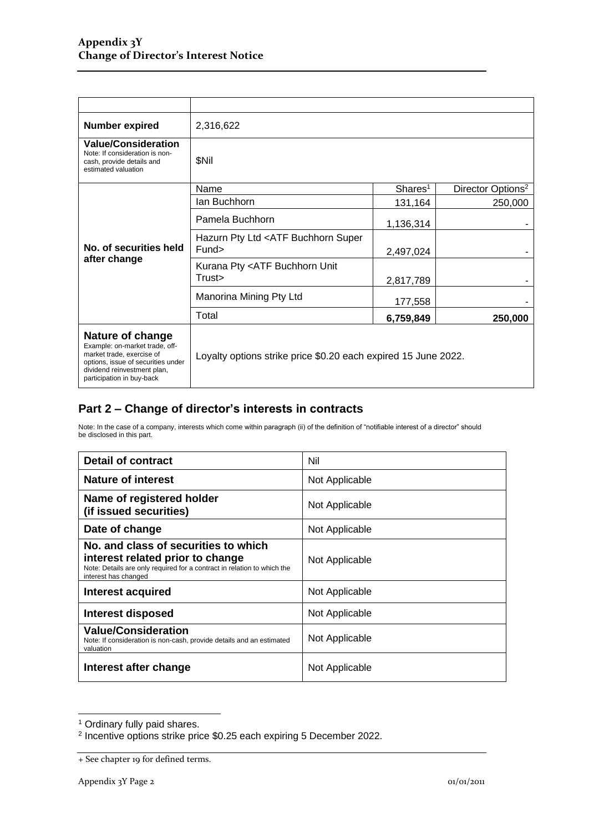| <b>Number expired</b>                                                                                                                                                             | 2,316,622                                                      |                     |                               |
|-----------------------------------------------------------------------------------------------------------------------------------------------------------------------------------|----------------------------------------------------------------|---------------------|-------------------------------|
| <b>Value/Consideration</b><br>Note: If consideration is non-<br>cash, provide details and<br>estimated valuation                                                                  | \$Nil                                                          |                     |                               |
|                                                                                                                                                                                   | Name                                                           | Shares <sup>1</sup> | Director Options <sup>2</sup> |
| No. of securities held<br>after change                                                                                                                                            | lan Buchhorn                                                   | 131,164             | 250,000                       |
|                                                                                                                                                                                   | Pamela Buchhorn                                                | 1,136,314           |                               |
|                                                                                                                                                                                   | Hazurn Pty Ltd <atf buchhorn="" super<br="">Fund&gt;</atf>     | 2,497,024           |                               |
|                                                                                                                                                                                   | Kurana Pty <atf buchhorn="" unit<br="">Trust&gt;</atf>         | 2,817,789           |                               |
|                                                                                                                                                                                   | Manorina Mining Pty Ltd                                        | 177,558             |                               |
|                                                                                                                                                                                   | Total                                                          | 6,759,849           | 250,000                       |
| Nature of change<br>Example: on-market trade, off-<br>market trade, exercise of<br>options, issue of securities under<br>dividend reinvestment plan,<br>participation in buy-back | Loyalty options strike price \$0.20 each expired 15 June 2022. |                     |                               |

### **Part 2 – Change of director's interests in contracts**

Note: In the case of a company, interests which come within paragraph (ii) of the definition of "notifiable interest of a director" should be disclosed in this part.

| <b>Detail of contract</b>                                                                                                                                                   | Nil            |
|-----------------------------------------------------------------------------------------------------------------------------------------------------------------------------|----------------|
| Nature of interest                                                                                                                                                          | Not Applicable |
| Name of registered holder<br>(if issued securities)                                                                                                                         | Not Applicable |
| Date of change                                                                                                                                                              | Not Applicable |
| No. and class of securities to which<br>interest related prior to change<br>Note: Details are only required for a contract in relation to which the<br>interest has changed | Not Applicable |
| Interest acquired                                                                                                                                                           | Not Applicable |
| Interest disposed                                                                                                                                                           | Not Applicable |
| <b>Value/Consideration</b><br>Note: If consideration is non-cash, provide details and an estimated<br>valuation                                                             | Not Applicable |
| Interest after change                                                                                                                                                       | Not Applicable |

<sup>&</sup>lt;sup>1</sup> Ordinary fully paid shares.<br><sup>2</sup> Incentive options strike price \$0.25 each expiring 5 December 2022.

<sup>+</sup> See chapter 19 for defined terms.